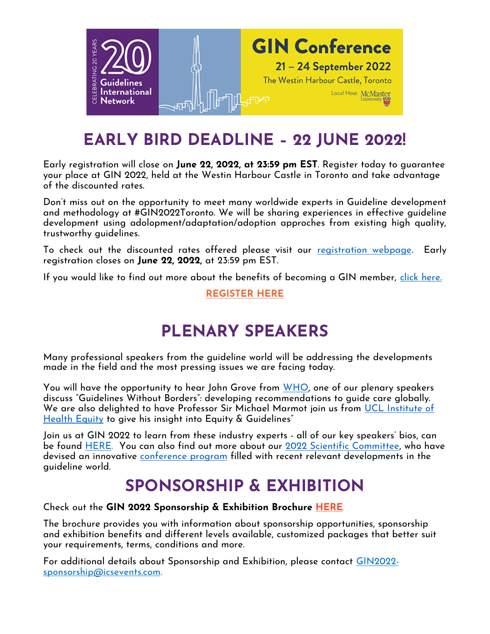

## **EARLY BIRD DEADLINE – 22 JUNE 2022!**

Early registration will close on **June 22, 2022, at 23:59 pm EST**. Register today to guarantee your place at GIN 2022, held at the Westin Harbour Castle in Toronto and take advantage of the discounted rates.

Don't miss out on the opportunity to meet many worldwide experts in Guideline development and methodology at #GIN2022Toronto. We will be sharing experiences in effective guideline development using adolopment/adaptation/adoption approches from existing high quality, trustworthy guidelines.

To check out the discounted rates offered please visit our <u>registration webpage</u>. Early registration closes on **June 22, 2022,** at 23:59 pm EST.

If you would like to find out more about the benefits of becoming a GIN member, [click here.](https://g-i-n.net/get-involved/why-become-a-gin-member/)

### **[REGISTER](https://icsevents.eventsair.com/gin2022/reg2022/Site/Landing) HERE**

## **PLENARY SPEAKERS**

Many professional speakers from the guideline world will be addressing the developments made in the field and the most pressing issues we are facing today.

You will have the opportunity to hear John Grove from [WHO,](https://www.who.int/) one of our plenary speakers discuss "Guidelines Without Borders": developing recommendations to guide care globally. We are also delighted to have Professor Sir Michael Marmot join us from [UCL Institute of](https://www.instituteofhealthequity.org/)  [Health Equity](https://www.instituteofhealthequity.org/) to give his insight into Equity & Guidelines"

Join us at GIN 2022 to learn from these industry experts - all of our key speakers' bios, can be found [HERE.](https://g-i-n.net/conference_2022/gin-conference-programme/plenary-speakers/) You can also find out more about our [2022 Scientific Committee,](https://g-i-n.net/conference_2022/gin-conference-programme/scientific-committee/) who have devised an innovative [conference program](https://g-i-n.net/wp-content/uploads/2022/03/GIN_PAAG_Mar_21.pdf) filled with recent relevant developments in the guideline world.

## **SPONSORSHIP & EXHIBITION**

#### Check out the **GIN 2022 Sponsorship & Exhibition Brochure [HERE](https://g-i-n.net/wp-content/uploads/2022/04/GIN-2022-Sponsorship-Brochure-6-Apr-2022-V1.0.pdf)**.

The brochure provides you with information about sponsorship opportunities, sponsorship and exhibition benefits and different levels available, customized packages that better suit your requirements, terms, conditions and more.

For additional details about Sponsorship and Exhibition, please contact [GIN2022](mailto::GIN%202022%20Sponsorship%20Manager%20%3cgin2022-sponsorship@icsevents.com) [sponsorship@icsevents.com.](mailto::GIN%202022%20Sponsorship%20Manager%20%3cgin2022-sponsorship@icsevents.com)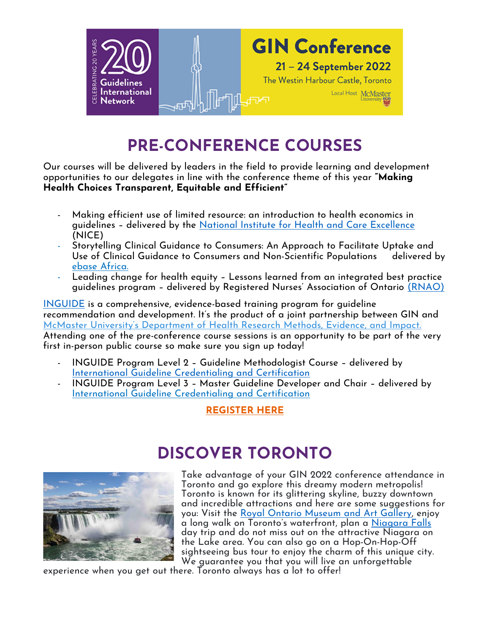

# **PRE-CONFERENCE COURSES**

Our courses will be delivered by leaders in the field to provide learning and development opportunities to our delegates in line with the conference theme of this year **"Making Health Choices Transparent, Equitable and Efficient"**

- Making efficient use of limited resource: an introduction to health economics in guidelines – delivered by the [National Institute for Health and Care Excellence](https://www.nice.org.uk/) (NICE)
- Storytelling Clinical Guidance to Consumers: An Approach to Facilitate Uptake and Use of Clinical Guidance to Consumers and Non-Scientific Populations delivered by [ebase Africa.](https://ebaseafrica.org/)
- Leading change for health equity Lessons learned from an integrated best practice guidelines program – delivered by Registered Nurses' Association of Ontario [\(RNAO\)](https://rnao.ca/)

[INGUIDE](https://inguide.org/) is a comprehensive, evidence-based training program for guideline recommendation and development. It's the product of a joint partnership between GIN and McMaster University's [Department](https://hei.mcmaster.ca/) of Health Research Methods, Evidence, and Impact. Attending one of the pre-conference course sessions is an opportunity to be part of the very first in-person public course so make sure you sign up today!

- INGUIDE Program Level 2 Guideline Methodologist Course delivered by [International Guideline Credentialing and Certification](https://inguide.org/)
- INGUIDE Program Level 3 Master Guideline Developer and Chair delivered by [International Guideline Credentialing and Certification](https://inguide.org/)

### **[REGISTER HERE](https://icsevents.eventsair.com/gin2022/ginlanding/Site/Register)**

### **DISCOVER TORONTO**



Take advantage of your GIN 2022 conference attendance in Toronto and go explore this dreamy modern metropolis! Toronto is known for its glittering skyline, buzzy downtown and incredible attractions and here are some suggestions for you: Visit the [Royal Ontario Museum](https://www.rom.on.ca/en/visit-us) and Art Gallery, enjoy a long walk on Toronto's waterfront, plan a [Niagara Falls](https://www.niagarafallstourism.com/) day trip and do not miss out on the attractive Niagara on the Lake area. You can also go on a Hop-On-Hop-Off sightseeing bus tour to enjoy the charm of this unique city. We guarantee you that you will live an unforgettable

experience when you get out there. Toronto always has a lot to offer!